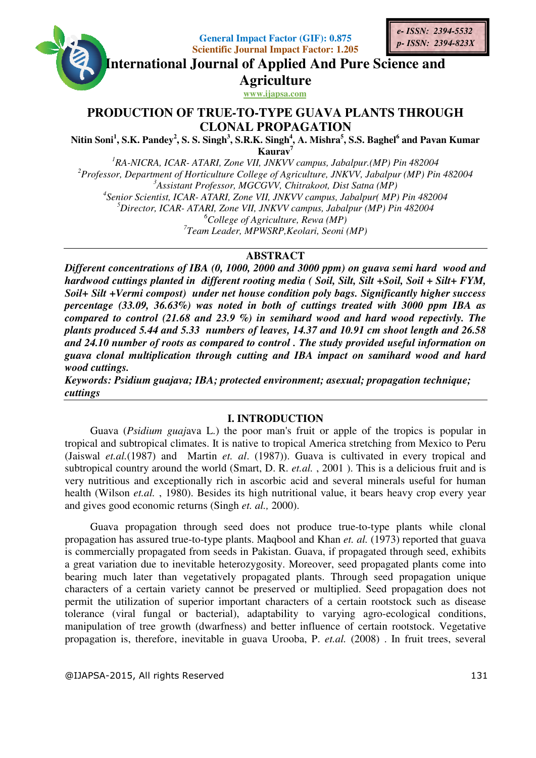**General Impact Factor (GIF): 0.875 Scientific Journal Impact Factor: 1.205 Factor: 1.205**

**International Journal of Applied And Pure Science and International Journal Science Agriculture**

**www.ijapsa.com** 

# **PRODUCTION OF TRUE TRUE-TO-TYPE GUAVA PLANTS THROUGH TYPE CLONAL PROPAGATION**

**Nitin Soni<sup>1</sup> , S.K. Pandey<sup>2</sup> , S. S. Singh S. S. <sup>3</sup> , S.R.K. Singh<sup>4</sup> , A. Mishra<sup>5</sup> , S.S. Baghel<sup>6</sup> and and Pavan Kumar Kaurav<sup>7</sup>**

<sup>1</sup>RA-NICRA, ICAR- ATARI, Zone VII, JNKVV campus, Jabalpur.(MP) Pin 482004 <sup>2</sup>*Professor, Department of Horticulture College of Agriculture, JNKVV, Jabalpur* (*MP*) *Pin 482004*<br><sup>2</sup>*Professor, Department of Horticulture College of Agriculture, JNKVV, Jabalpur (MP) Pin 482004* <sup>3</sup> Assistant Professor, MGCGVV, Chitrakoot, Dist Satna (MP) <sup>4</sup> Senior Scientist, ICAR- ATARI, Zone VII, JNKVV campus, Jabalpur( MP) Pin 482004 <sup>5</sup>Director, ICAR- ATARI, Zone VII, JNKVV campus, Jabalpur (MP) Pin 482004 *6 College of Agriculture, Rewa (MP)*  <sup>7</sup> Team Leader, MPWSRP,Keolari, Seoni (MP)

## **ABSTRACT**

Different concentrations of IBA (0, 1000, 2000 and 3000 ppm) on guava semi hard wood and hardwood cuttings planted in different rooting media ( Soil, Silt, Silt +Soil, Soil + Silt+ FYM, Soil+ Silt +Vermi compost) under net house condition poly bags. Significantly higher success *percentage (33.09, 36.63%) was noted in %) both of cuttings treated with 3000 ppm compared to control (21.68 and 23.9 %) in semihard wood and hard wood repectivly. The plants produced 5.44 and 5.33 numbers of leaves, 14.37 and 10.91 cm shoot length and 26.58*  and 24.10 number of roots as compared to control . The study provided useful information on guava clonal multiplication through cutting and IBA impact on samihard wood and hard *wood cuttings. , . higher success ppm IBA as The study provided useful information*<br>BA impact on samihard wood and he<br>ment; asexual; propagation technique;

*Keywords: Psidium guajava; IBA; protected environment; asexual; propagation techniq cuttings* 

### **I. INTRODUCTION**

Guava (Psidium guajava L.) the poor man's fruit or apple of the tropics is popular in tropical and subtropical climates. It is native to tropical America stretching from Mexico to Peru (Jaiswal et.al. (1987) and Martin et. al. (1987)). Guava is cultivated in every tropical and subtropical country around the world (Smart, D. R. *et.al.*, 2001). This is a delicious fruit and is very nutritious and exceptionally rich in ascorbic acid and several minerals useful for human very nutritious and exceptionally rich in ascorbic acid and several minerals useful for human health (Wilson *et.al.*, 1980). Besides its high nutritional value, it bears heavy crop every year and gives good economic returns ( (Singh *et. al.,* 2000).

Guava propagation through seed does not produce true-to-type plants while clonal propagation has assured true-to-type plants. Maqbool and Khan et. al. (1973) reported that guava is commercially propagated from seeds in Pakistan. Guava, if propagated through seed, exhibits a great variation due to inevitable heterozygosity. Moreover, seed propagated plants come into bearing much later than vegetatively propagated plants. Through seed propagation unique characters of a certain variety cannot be preserved or multiplied. Seed propagation does not permit the utilization of superior important characters of a certain rootstock such as disease tolerance (viral fungal or bacterial), adaptability to varying agro-ecological conditions, manipulation of tree growth (dwarfness) and better influence of certain rootstock. Vegetative propagation is, therefore, inevitable in guava Urooba, P. *et.al.* (2008). In fruit trees, several eeds in Pakistan. Guava, if propagated through seed, exhibits<br>heterozygosity. Moreover, seed propagated plants come into<br>vely propagated plants. Through seed propagation unique<br>nnot be preserved or multiplied. Seed propaga

@IJAPSA-2015, All rights Reserved 2015, All rights Reserved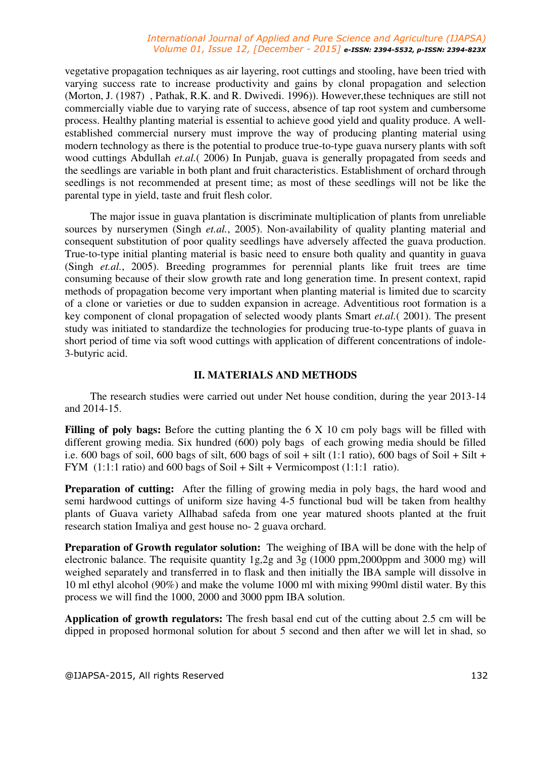### *International Journal of Applied and Pure Science and Agriculture (IJAPSA) Volume 01, Issue 12, [December - 2015] e-ISSN: 2394-5532, p-ISSN: 2394-823X*

vegetative propagation techniques as air layering, root cuttings and stooling, have been tried with varying success rate to increase productivity and gains by clonal propagation and selection (Morton, J. (1987) , Pathak, R.K. and R. Dwivedi. 1996)). However,these techniques are still not commercially viable due to varying rate of success, absence of tap root system and cumbersome process. Healthy planting material is essential to achieve good yield and quality produce. A wellestablished commercial nursery must improve the way of producing planting material using modern technology as there is the potential to produce true-to-type guava nursery plants with soft wood cuttings Abdullah *et.al.*( 2006) In Punjab, guava is generally propagated from seeds and the seedlings are variable in both plant and fruit characteristics. Establishment of orchard through seedlings is not recommended at present time; as most of these seedlings will not be like the parental type in yield, taste and fruit flesh color.

The major issue in guava plantation is discriminate multiplication of plants from unreliable sources by nurserymen (Singh *et.al.*, 2005). Non-availability of quality planting material and consequent substitution of poor quality seedlings have adversely affected the guava production. True-to-type initial planting material is basic need to ensure both quality and quantity in guava (Singh *et.al.*, 2005). Breeding programmes for perennial plants like fruit trees are time consuming because of their slow growth rate and long generation time. In present context, rapid methods of propagation become very important when planting material is limited due to scarcity of a clone or varieties or due to sudden expansion in acreage. Adventitious root formation is a key component of clonal propagation of selected woody plants Smart *et.al.*( 2001). The present study was initiated to standardize the technologies for producing true-to-type plants of guava in short period of time via soft wood cuttings with application of different concentrations of indole-3-butyric acid.

### **II. MATERIALS AND METHODS**

The research studies were carried out under Net house condition, during the year 2013-14 and 2014-15.

Filling of poly bags: Before the cutting planting the 6 X 10 cm poly bags will be filled with different growing media. Six hundred (600) poly bags of each growing media should be filled i.e. 600 bags of soil, 600 bags of silt, 600 bags of soil + silt (1:1 ratio), 600 bags of Soil + Silt + FYM (1:1:1 ratio) and 600 bags of Soil + Silt + Vermicompost (1:1:1 ratio).

**Preparation of cutting:** After the filling of growing media in poly bags, the hard wood and semi hardwood cuttings of uniform size having 4-5 functional bud will be taken from healthy plants of Guava variety Allhabad safeda from one year matured shoots planted at the fruit research station Imaliya and gest house no- 2 guava orchard.

**Preparation of Growth regulator solution:** The weighing of IBA will be done with the help of electronic balance. The requisite quantity 1g,2g and 3g (1000 ppm,2000ppm and 3000 mg) will weighed separately and transferred in to flask and then initially the IBA sample will dissolve in 10 ml ethyl alcohol (90%) and make the volume 1000 ml with mixing 990ml distil water. By this process we will find the 1000, 2000 and 3000 ppm IBA solution.

**Application of growth regulators:** The fresh basal end cut of the cutting about 2.5 cm will be dipped in proposed hormonal solution for about 5 second and then after we will let in shad, so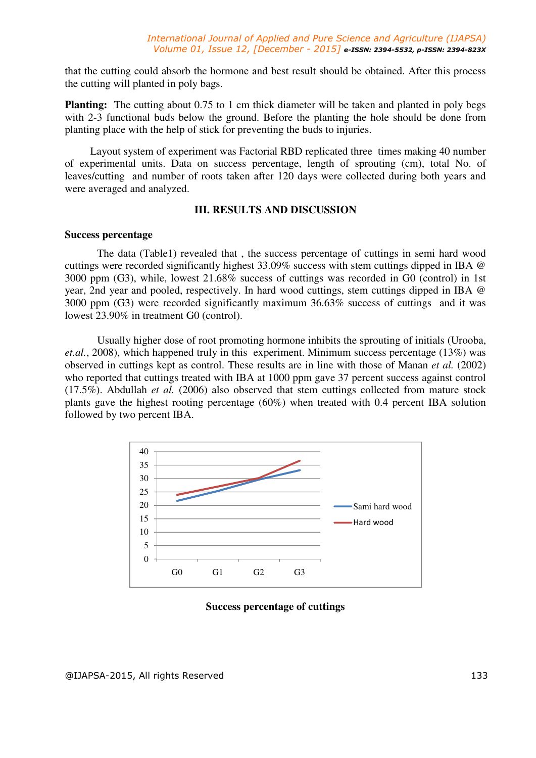that the cutting could absorb the hormone and best result should be obtained. After this process the cutting will planted in poly bags.

**Planting:** The cutting about 0.75 to 1 cm thick diameter will be taken and planted in poly begs with 2-3 functional buds below the ground. Before the planting the hole should be done from planting place with the help of stick for preventing the buds to injuries.

Layout system of experiment was Factorial RBD replicated three times making 40 number of experimental units. Data on success percentage, length of sprouting (cm), total No. of leaves/cutting and number of roots taken after 120 days were collected during both years and were averaged and analyzed.

### **III. RESULTS AND DISCUSSION**

### **Success percentage**

The data (Table1) revealed that , the success percentage of cuttings in semi hard wood cuttings were recorded significantly highest 33.09% success with stem cuttings dipped in IBA @ 3000 ppm (G3), while, lowest 21.68% success of cuttings was recorded in G0 (control) in 1st year, 2nd year and pooled, respectively. In hard wood cuttings, stem cuttings dipped in IBA @ 3000 ppm (G3) were recorded significantly maximum 36.63% success of cuttings and it was lowest 23.90% in treatment G0 (control).

Usually higher dose of root promoting hormone inhibits the sprouting of initials (Urooba, *et.al.*, 2008), which happened truly in this experiment. Minimum success percentage (13%) was observed in cuttings kept as control. These results are in line with those of Manan *et al.* (2002) who reported that cuttings treated with IBA at 1000 ppm gave 37 percent success against control (17.5%). Abdullah *et al.* (2006) also observed that stem cuttings collected from mature stock plants gave the highest rooting percentage (60%) when treated with 0.4 percent IBA solution followed by two percent IBA.



### **Success percentage of cuttings**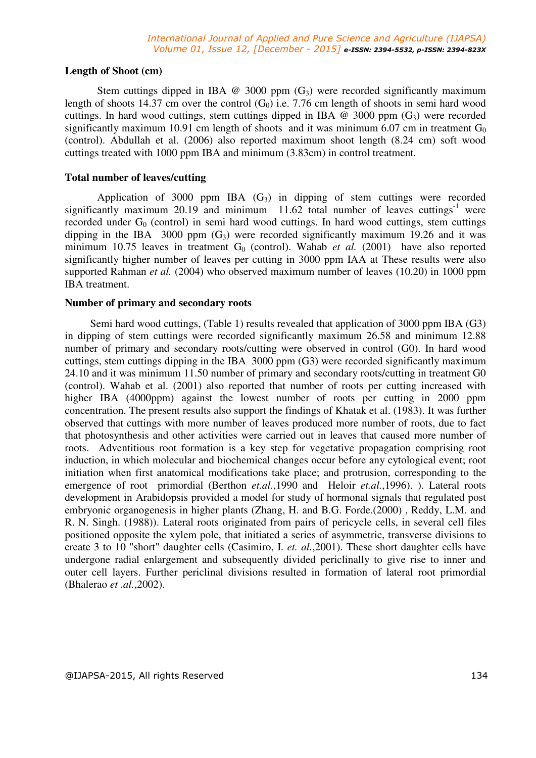### **Length of Shoot (cm)**

Stem cuttings dipped in IBA  $\omega$  3000 ppm  $(G_3)$  were recorded significantly maximum length of shoots 14.37 cm over the control  $(G_0)$  i.e. 7.76 cm length of shoots in semi hard wood cuttings. In hard wood cuttings, stem cuttings dipped in IBA  $\omega$  3000 ppm  $(G_3)$  were recorded significantly maximum 10.91 cm length of shoots and it was minimum 6.07 cm in treatment  $G_0$ (control). Abdullah et al. (2006) also reported maximum shoot length (8.24 cm) soft wood cuttings treated with 1000 ppm IBA and minimum (3.83cm) in control treatment.

### **Total number of leaves/cutting**

Application of 3000 ppm IBA  $(G_3)$  in dipping of stem cuttings were recorded significantly maximum  $20.19$  and minimum  $11.62$  total number of leaves cuttings<sup>-1</sup> were recorded under  $G_0$  (control) in semi-hard wood cuttings. In hard wood cuttings, stem cuttings dipping in the IBA 3000 ppm  $(G_3)$  were recorded significantly maximum 19.26 and it was minimum 10.75 leaves in treatment  $G_0$  (control). Wahab *et al.* (2001) have also reported significantly higher number of leaves per cutting in 3000 ppm IAA at These results were also supported Rahman *et al.* (2004) who observed maximum number of leaves (10.20) in 1000 ppm IBA treatment.

### **Number of primary and secondary roots**

Semi hard wood cuttings, (Table 1) results revealed that application of 3000 ppm IBA (G3) in dipping of stem cuttings were recorded significantly maximum 26.58 and minimum 12.88 number of primary and secondary roots/cutting were observed in control (G0). In hard wood cuttings, stem cuttings dipping in the IBA 3000 ppm (G3) were recorded significantly maximum 24.10 and it was minimum 11.50 number of primary and secondary roots/cutting in treatment G0 (control). Wahab et al. (2001) also reported that number of roots per cutting increased with higher IBA (4000ppm) against the lowest number of roots per cutting in 2000 ppm concentration. The present results also support the findings of Khatak et al. (1983). It was further observed that cuttings with more number of leaves produced more number of roots, due to fact that photosynthesis and other activities were carried out in leaves that caused more number of roots. Adventitious root formation is a key step for vegetative propagation comprising root induction, in which molecular and biochemical changes occur before any cytological event; root initiation when first anatomical modifications take place; and protrusion, corresponding to the emergence of root primordial (Berthon *et.al.*, 1990 and Heloir *et.al.*, 1996). ). Lateral roots development in Arabidopsis provided a model for study of hormonal signals that regulated post embryonic organogenesis in higher plants (Zhang, H. and B.G. Forde.(2000) , Reddy, L.M. and R. N. Singh. (1988)). Lateral roots originated from pairs of pericycle cells, in several cell files positioned opposite the xylem pole, that initiated a series of asymmetric, transverse divisions to create 3 to 10 "short" daughter cells (Casimiro, I. *et. al.*,2001). These short daughter cells have undergone radial enlargement and subsequently divided periclinally to give rise to inner and outer cell layers. Further periclinal divisions resulted in formation of lateral root primordial (Bhalerao *et .al.*,2002).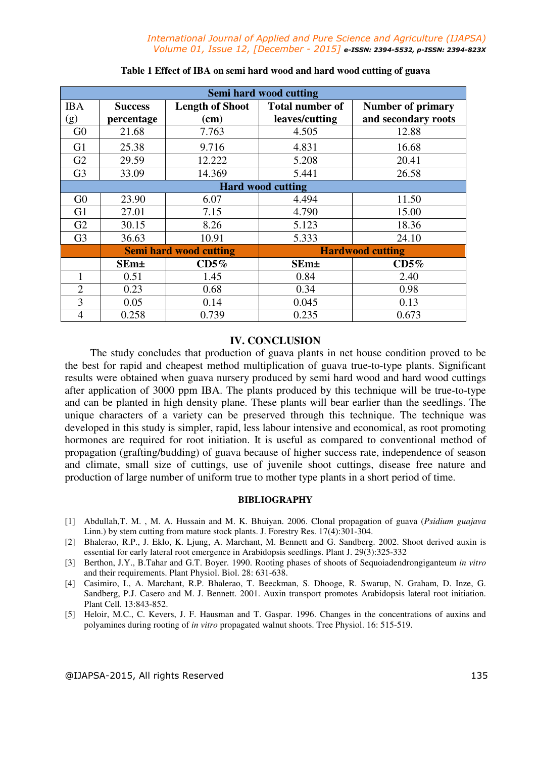| <b>Semi hard wood cutting</b> |                               |                        |                         |                          |
|-------------------------------|-------------------------------|------------------------|-------------------------|--------------------------|
| <b>IBA</b>                    | <b>Success</b>                | <b>Length of Shoot</b> | <b>Total number of</b>  | <b>Number of primary</b> |
| (g)                           | percentage                    | (cm)                   | leaves/cutting          | and secondary roots      |
| G <sub>0</sub>                | 21.68                         | 7.763                  | 4.505                   | 12.88                    |
| G1                            | 25.38                         | 9.716                  | 4.831                   | 16.68                    |
| G <sub>2</sub>                | 29.59                         | 12.222                 | 5.208                   | 20.41                    |
| G <sub>3</sub>                | 33.09                         | 14.369                 | 5.441                   | 26.58                    |
| <b>Hard wood cutting</b>      |                               |                        |                         |                          |
| G <sub>0</sub>                | 23.90                         | 6.07                   | 4.494                   | 11.50                    |
| G <sub>1</sub>                | 27.01                         | 7.15                   | 4.790                   | 15.00                    |
| G2                            | 30.15                         | 8.26                   | 5.123                   | 18.36                    |
| G <sub>3</sub>                | 36.63                         | 10.91                  | 5.333                   | 24.10                    |
|                               | <b>Semi hard wood cutting</b> |                        | <b>Hardwood cutting</b> |                          |
|                               | <b>SEm</b> ±                  | CD5%                   | $SEm\pm$                | CD5%                     |
|                               | 0.51                          | 1.45                   | 0.84                    | 2.40                     |
| $\overline{2}$                | 0.23                          | 0.68                   | 0.34                    | 0.98                     |
| 3                             | 0.05                          | 0.14                   | 0.045                   | 0.13                     |
| 4                             | 0.258                         | 0.739                  | 0.235                   | 0.673                    |

#### **Table 1 Effect of IBA on semi hard wood and hard wood cutting of guava**

### **IV. CONCLUSION**

The study concludes that production of guava plants in net house condition proved to be the best for rapid and cheapest method multiplication of guava true-to-type plants. Significant results were obtained when guava nursery produced by semi hard wood and hard wood cuttings after application of 3000 ppm IBA. The plants produced by this technique will be true-to-type and can be planted in high density plane. These plants will bear earlier than the seedlings. The unique characters of a variety can be preserved through this technique. The technique was developed in this study is simpler, rapid, less labour intensive and economical, as root promoting hormones are required for root initiation. It is useful as compared to conventional method of propagation (grafting/budding) of guava because of higher success rate, independence of season and climate, small size of cuttings, use of juvenile shoot cuttings, disease free nature and production of large number of uniform true to mother type plants in a short period of time.

### **BIBLIOGRAPHY**

- [1] Abdullah,T. M. , M. A. Hussain and M. K. Bhuiyan. 2006. Clonal propagation of guava (*Psidium guajava*  Linn.) by stem cutting from mature stock plants. J. Forestry Res. 17(4):301-304.
- [2] Bhalerao, R.P., J. Eklo, K. Ljung, A. Marchant, M. Bennett and G. Sandberg. 2002. Shoot derived auxin is essential for early lateral root emergence in Arabidopsis seedlings. Plant J. 29(3):325-332
- [3] Berthon, J.Y., B.Tahar and G.T. Boyer. 1990. Rooting phases of shoots of Sequoiadendrongiganteum *in vitro*  and their requirements. Plant Physiol. Biol. 28: 631-638.
- [4] Casimiro, I., A. Marchant, R.P. Bhalerao, T. Beeckman, S. Dhooge, R. Swarup, N. Graham, D. Inze, G. Sandberg, P.J. Casero and M. J. Bennett. 2001. Auxin transport promotes Arabidopsis lateral root initiation. Plant Cell. 13:843-852.
- [5] Heloir, M.C., C. Kevers, J. F. Hausman and T. Gaspar. 1996. Changes in the concentrations of auxins and polyamines during rooting of *in vitro* propagated walnut shoots. Tree Physiol. 16: 515-519.